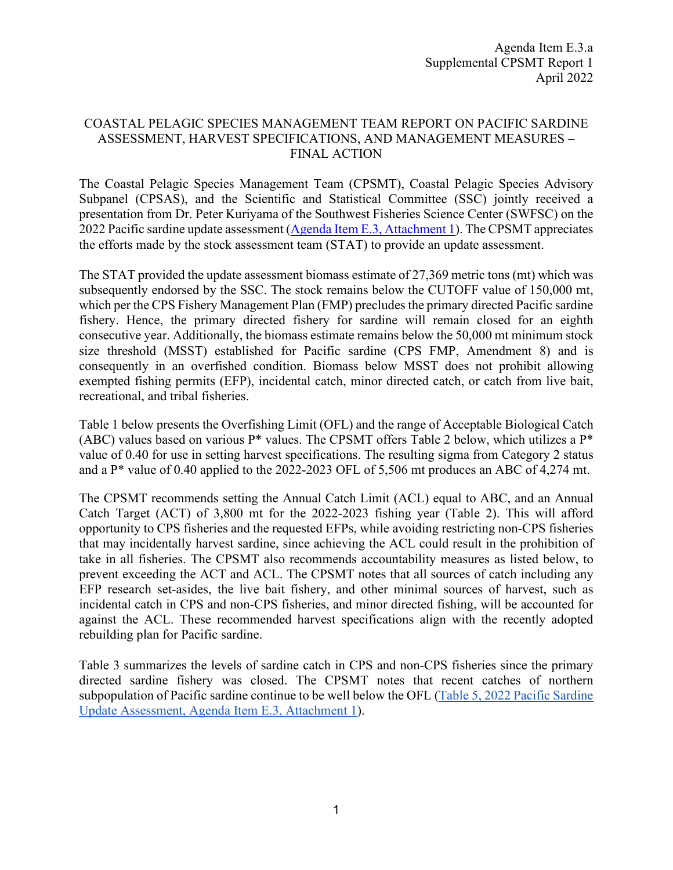## COASTAL PELAGIC SPECIES MANAGEMENT TEAM REPORT ON PACIFIC SARDINE ASSESSMENT, HARVEST SPECIFICATIONS, AND MANAGEMENT MEASURES – FINAL ACTION

The Coastal Pelagic Species Management Team (CPSMT), Coastal Pelagic Species Advisory Subpanel (CPSAS), and the Scientific and Statistical Committee (SSC) jointly received a presentation from Dr. Peter Kuriyama of the Southwest Fisheries Science Center (SWFSC) on the 2022 Pacific sardine update assessment [\(Agenda Item E.3, Attachment 1\)](https://www.pcouncil.org/documents/2022/03/e-3-attachment-1-stock-assessment-update.pdf/). The CPSMT appreciates the efforts made by the stock assessment team (STAT) to provide an update assessment.

The STAT provided the update assessment biomass estimate of 27,369 metric tons (mt) which was subsequently endorsed by the SSC. The stock remains below the CUTOFF value of 150,000 mt, which per the CPS Fishery Management Plan (FMP) precludes the primary directed Pacific sardine fishery. Hence, the primary directed fishery for sardine will remain closed for an eighth consecutive year. Additionally, the biomass estimate remains below the 50,000 mt minimum stock size threshold (MSST) established for Pacific sardine (CPS FMP, Amendment 8) and is consequently in an overfished condition. Biomass below MSST does not prohibit allowing exempted fishing permits (EFP), incidental catch, minor directed catch, or catch from live bait, recreational, and tribal fisheries.

Table 1 below presents the Overfishing Limit (OFL) and the range of Acceptable Biological Catch (ABC) values based on various  $P^*$  values. The CPSMT offers Table 2 below, which utilizes a  $P^*$ value of 0.40 for use in setting harvest specifications. The resulting sigma from Category 2 status and a P\* value of 0.40 applied to the 2022-2023 OFL of 5,506 mt produces an ABC of 4,274 mt.

The CPSMT recommends setting the Annual Catch Limit (ACL) equal to ABC, and an Annual Catch Target (ACT) of 3,800 mt for the 2022-2023 fishing year (Table 2). This will afford opportunity to CPS fisheries and the requested EFPs, while avoiding restricting non-CPS fisheries that may incidentally harvest sardine, since achieving the ACL could result in the prohibition of take in all fisheries. The CPSMT also recommends accountability measures as listed below, to prevent exceeding the ACT and ACL. The CPSMT notes that all sources of catch including any EFP research set-asides, the live bait fishery, and other minimal sources of harvest, such as incidental catch in CPS and non-CPS fisheries, and minor directed fishing, will be accounted for against the ACL. These recommended harvest specifications align with the recently adopted rebuilding plan for Pacific sardine.

Table 3 summarizes the levels of sardine catch in CPS and non-CPS fisheries since the primary directed sardine fishery was closed. The CPSMT notes that recent catches of northern subpopulation of Pacific sardine continue to be well below the OFL [\(Table 5, 2022 Pacific Sardine](https://www.pcouncil.org/documents/2022/03/e-3-attachment-1-stock-assessment-update.pdf/)  [Update Assessment, Agenda Item E.3, Attachment 1\)](https://www.pcouncil.org/documents/2022/03/e-3-attachment-1-stock-assessment-update.pdf/).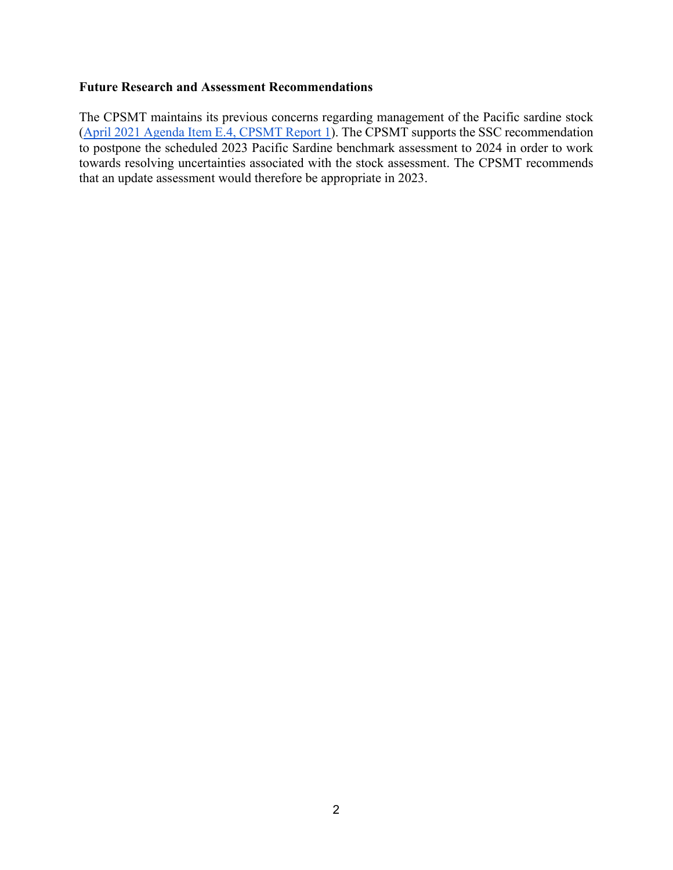## **Future Research and Assessment Recommendations**

The CPSMT maintains its previous concerns regarding management of the Pacific sardine stock [\(April 2021 Agenda Item E.4, CPSMT Report 1\)](https://www.pcouncil.org/documents/2021/04/e-4-a-supplemental-cpsmt-report-1.pdf/). The CPSMT supports the SSC recommendation to postpone the scheduled 2023 Pacific Sardine benchmark assessment to 2024 in order to work towards resolving uncertainties associated with the stock assessment. The CPSMT recommends that an update assessment would therefore be appropriate in 2023.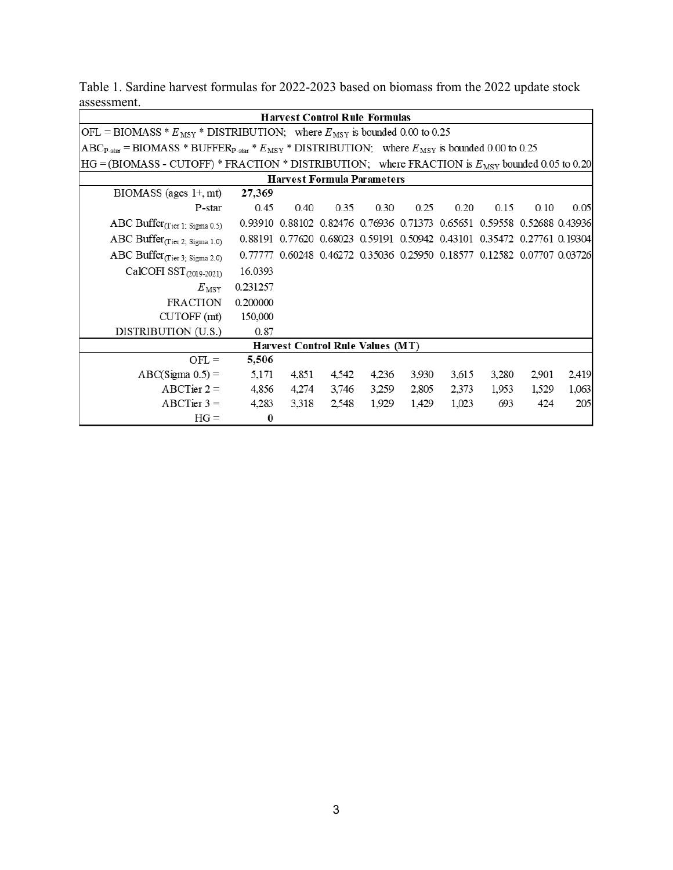|                                                                                                                         |          |       | <b>Harvest Control Rule Formulas</b>                                    |       |       |       |       |       |       |  |
|-------------------------------------------------------------------------------------------------------------------------|----------|-------|-------------------------------------------------------------------------|-------|-------|-------|-------|-------|-------|--|
| OFL = BIOMASS * $E_{\text{MSY}}$ * DISTRIBUTION; where $E_{\text{MSY}}$ is bounded 0.00 to 0.25                         |          |       |                                                                         |       |       |       |       |       |       |  |
| $ABC_{P-star}$ = BIOMASS * BUFFER <sub>P-star</sub> * $E_{MSY}$ * DISTRIBUTION; where $E_{MSY}$ is bounded 0.00 to 0.25 |          |       |                                                                         |       |       |       |       |       |       |  |
| $HG = (B IOMASS - CUTOFF) * FRACTION * DISTRIBUTION; where FRACTION is E_{MSY} bounded 0.05 to 0.20$                    |          |       |                                                                         |       |       |       |       |       |       |  |
| <b>Harvest Formula Parameters</b>                                                                                       |          |       |                                                                         |       |       |       |       |       |       |  |
| $BIOMASS$ (ages $1+, mt$ )                                                                                              | 27,369   |       |                                                                         |       |       |       |       |       |       |  |
| P-star                                                                                                                  | 0.45     | 0.40  | 0.35                                                                    | 0.30  | 0.25  | 0.20  | 0.15  | 0.10  | 0.05  |  |
| ABC Buffer <sub>(Tier 1; Sigma 0.5)</sub>                                                                               |          |       | 0.93910 0.88102 0.82476 0.76936 0.71373 0.65651 0.59558 0.52688 0.43936 |       |       |       |       |       |       |  |
| ABC Buffer <sub>(Tier 2; Sigma 1.0)</sub>                                                                               |          |       | 0.88191 0.77620 0.68023 0.59191 0.50942 0.43101 0.35472 0.27761 0.19304 |       |       |       |       |       |       |  |
| ABC Buffer <sub>(Tier 3; Sigma 2.0)</sub>                                                                               |          |       | 0.77777 0.60248 0.46272 0.35036 0.25950 0.18577 0.12582 0.07707 0.03726 |       |       |       |       |       |       |  |
| CalCOFI SST <sub>(2019-2021)</sub>                                                                                      | 16.0393  |       |                                                                         |       |       |       |       |       |       |  |
| $E_{\rm MSY}$                                                                                                           | 0.231257 |       |                                                                         |       |       |       |       |       |       |  |
| <b>FRACTION</b>                                                                                                         | 0.200000 |       |                                                                         |       |       |       |       |       |       |  |
| CUTOFF (mt)                                                                                                             | 150,000  |       |                                                                         |       |       |       |       |       |       |  |
| DISTRIBUTION (U.S.)                                                                                                     | 0.87     |       |                                                                         |       |       |       |       |       |       |  |
| <b>Harvest Control Rule Values (MT)</b>                                                                                 |          |       |                                                                         |       |       |       |       |       |       |  |
| $OFL =$                                                                                                                 | 5,506    |       |                                                                         |       |       |       |       |       |       |  |
| $ABC(Sigma 0.5) =$                                                                                                      | 5,171    | 4,851 | 4,542                                                                   | 4,236 | 3,930 | 3,615 | 3,280 | 2,901 | 2,419 |  |
| $ABCTier 2 =$                                                                                                           | 4,856    | 4,274 | 3,746                                                                   | 3,259 | 2,805 | 2,373 | 1,953 | 1,529 | 1,063 |  |
| $ABCTier 3 =$                                                                                                           | 4,283    | 3,318 | 2,548                                                                   | 1,929 | 1,429 | 1,023 | 693   | 424   | 205   |  |
| $HG =$                                                                                                                  | $\bf{0}$ |       |                                                                         |       |       |       |       |       |       |  |

Table 1. Sardine harvest formulas for 2022-2023 based on biomass from the 2022 update stock assessment.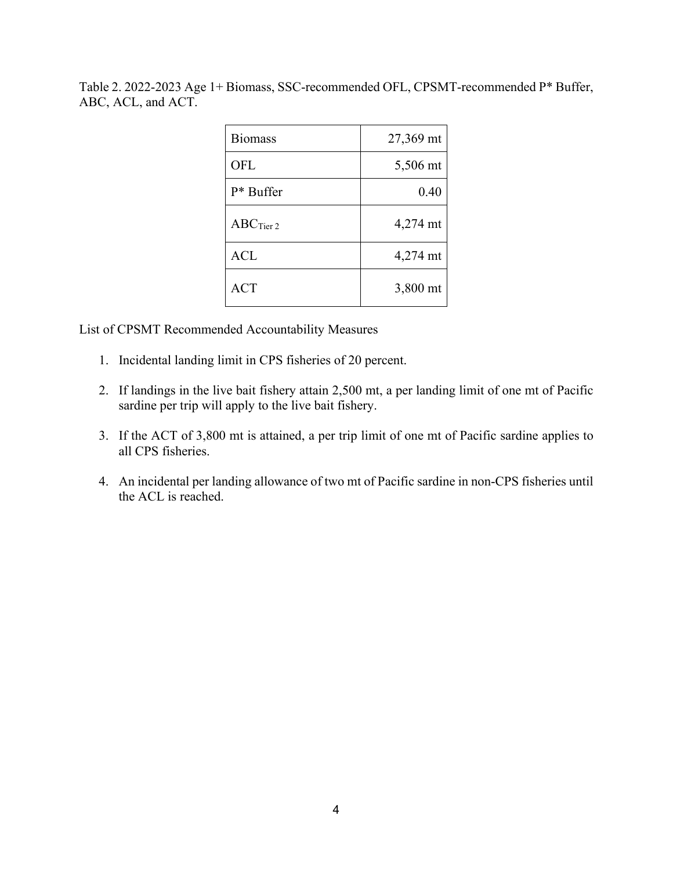Table 2. 2022-2023 Age 1+ Biomass, SSC-recommended OFL, CPSMT-recommended P\* Buffer, ABC, ACL, and ACT.

| <b>Biomass</b> | 27,369 mt |
|----------------|-----------|
| <b>OFL</b>     | 5,506 mt  |
| $P^*$ Buffer   | 0.40      |
| $ABC$ Tier 2   | 4,274 mt  |
| <b>ACL</b>     | 4,274 mt  |
| <b>ACT</b>     | 3,800 mt  |

List of CPSMT Recommended Accountability Measures

- 1. Incidental landing limit in CPS fisheries of 20 percent.
- 2. If landings in the live bait fishery attain 2,500 mt, a per landing limit of one mt of Pacific sardine per trip will apply to the live bait fishery.
- 3. If the ACT of 3,800 mt is attained, a per trip limit of one mt of Pacific sardine applies to all CPS fisheries.
- 4. An incidental per landing allowance of two mt of Pacific sardine in non-CPS fisheries until the ACL is reached.